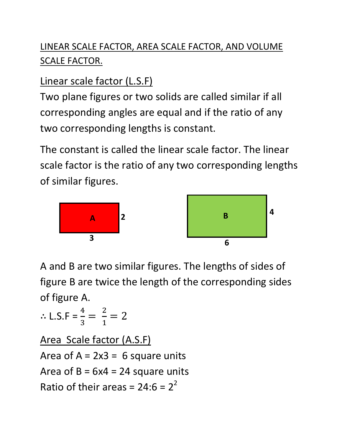# LINEAR SCALE FACTOR, AREA SCALE FACTOR, AND VOLUME SCALE FACTOR.

# Linear scale factor (L.S.F)

Two plane figures or two solids are called similar if all corresponding angles are equal and if the ratio of any two corresponding lengths is constant.

The constant is called the linear scale factor. The linear scale factor is the ratio of any two corresponding lengths of similar figures.



A and B are two similar figures. The lengths of sides of figure B are twice the length of the corresponding sides of figure A.

$$
\therefore \text{ L.S.F} = \frac{4}{3} = \frac{2}{1} = 2
$$

Area Scale factor (A.S.F) Area of  $A = 2x3 = 6$  square units Area of  $B = 6x4 = 24$  square units Ratio of their areas =  $24:6 = 2^2$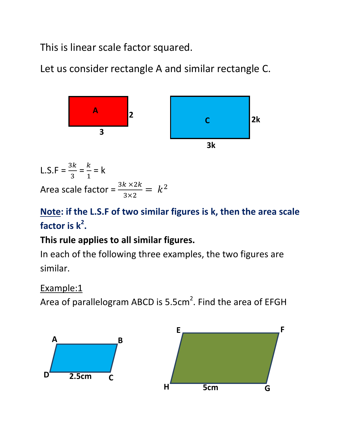This is linear scale factor squared.

Let us consider rectangle A and similar rectangle C.



L.S.F =  $\frac{3k}{2}$ 3  $=\frac{k}{1}$  $\mathbf{1}$  $= k$ Area scale factor =  $\frac{3k\times2k}{3\times2}$  $\frac{k \times 2k}{3 \times 2} = k^2$ 

# **Note: if the L.S.F of two similar figures is k, then the area scale factor is k<sup>2</sup> .**

# **This rule applies to all similar figures.**

In each of the following three examples, the two figures are similar.

Example:1

Area of parallelogram ABCD is 5.5cm<sup>2</sup>. Find the area of EFGH

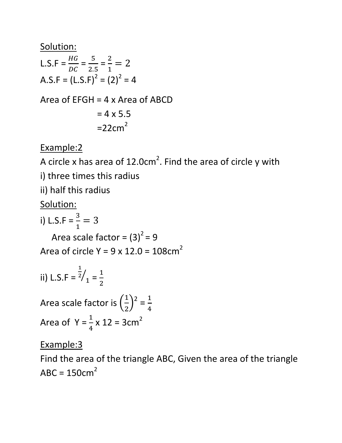#### Solution:

L.S.F = 
$$
\frac{HG}{DC} = \frac{5}{2.5} = \frac{2}{1} = 2
$$
  
A.S.F = (L.S.F)<sup>2</sup> = (2)<sup>2</sup> = 4

Area of EFGH = 4 x Area of ABCD

$$
= 4 \times 5.5
$$

$$
= 22 \text{cm}^2
$$

Example:2

A circle x has area of 12.0cm<sup>2</sup>. Find the area of circle y with

i) three times this radius

ii) half this radius

Solution:

i) L.S.F =  $\frac{3}{1}$  $\frac{3}{1}$  = 3

Area scale factor =  $(3)^2$  = 9

Area of circle Y =  $9 \times 12.0 = 108 \text{cm}^2$ 

ii) L.S.F = 
$$
\frac{1}{2}/1 = \frac{1}{2}
$$

Area scale factor is  $\left(\frac{1}{2}\right)$  $\left(\frac{1}{2}\right)^2 = \frac{1}{4}$  $\overline{A}$ Area of  $Y = \frac{1}{4}$  $\overline{\mathbf{r}}$  $x 12 = 3cm<sup>2</sup>$ 

## Example:3

Find the area of the triangle ABC, Given the area of the triangle  $ABC = 150cm<sup>2</sup>$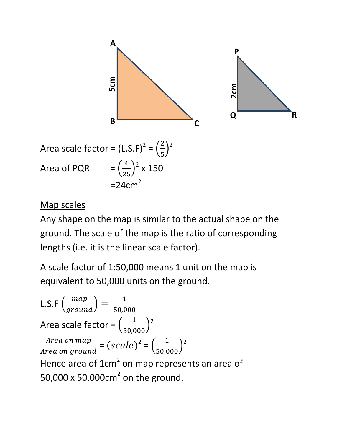

Area scale factor = 
$$
(L.S.F)^2 = \left(\frac{2}{5}\right)^2
$$
  
Area of PQR =  $\left(\frac{4}{25}\right)^2 \times 150$   
= 24cm<sup>2</sup>

#### Map scales

Any shape on the map is similar to the actual shape on the ground. The scale of the map is the ratio of corresponding lengths (i.e. it is the linear scale factor).

A scale factor of 1:50,000 means 1 unit on the map is equivalent to 50,000 units on the ground.

L.S.F 
$$
\left(\frac{map}{ground}\right) = \frac{1}{50,000}
$$
  
\nArea scale factor =  $\left(\frac{1}{50,000}\right)^2$   
\nArea on *map* =  $(scale)^2 = \left(\frac{1}{50,000}\right)^2$   
\nHence area of 1cm<sup>2</sup> on map represents an area of 50,000 x 50,000cm<sup>2</sup> on the ground.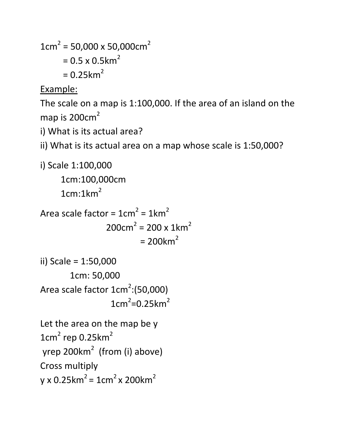```
1cm<sup>2</sup> = 50,000 \times 50,000 \text{cm}<sup>2</sup>= 0.5 \times 0.5km<sup>2</sup>
           = 0.25 km<sup>2</sup>
```
Example:

The scale on a map is 1:100,000. If the area of an island on the map is  $200 \text{cm}^2$ 

i) What is its actual area?

```
ii) What is its actual area on a map whose scale is 1:50,000?
```

```
i) Scale 1:100,000 
       1cm:100,000cm 
      1cm:1km<sup>2</sup>Area scale factor = 1cm^2 = 1km^2200 \text{cm}^2 = 200 \times 1 \text{km}^2= 200km<sup>2</sup>
```

```
ii) Scale = 1:50,000 
        1cm: 50,000 
Area scale factor 1 \text{cm}^2:(50,000)
1cm^2=0.25km^2
```

```
Let the area on the map be y 
1cm<sup>2</sup> rep 0.25km<sup>2</sup>
yrep 200km<sup>2</sup> (from (i) above)
Cross multiply 
y \times 0.25km<sup>2</sup> = 1cm<sup>2</sup> x 200km<sup>2</sup>
```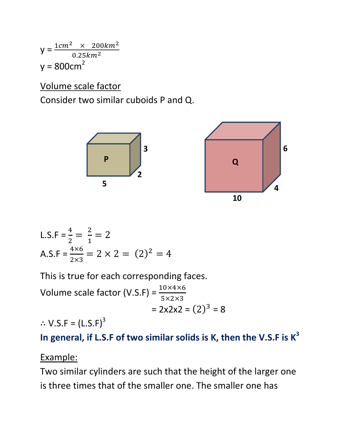$y = \frac{1cm^2 \times 200 km^2}{9.25 km^2}$  $0.25 km<sup>2</sup>$  $y = 800cm<sup>2</sup>$ 

Volume scale factor

Consider two similar cuboids P and Q.



L.S.F = 
$$
\frac{4}{2} = \frac{2}{1} = 2
$$
  
A.S.F =  $\frac{4 \times 6}{2 \times 3} = 2 \times 2 = (2)^2 = 4$ 

This is true for each corresponding faces.

Volume scale factor (V.S.F) =  $\frac{10\times4\times6}{5\times3\times3}$  $5\times2\times3$  $= 2x2x2 = (2)^{3} = 8$  $\therefore$  V.S.F = (L.S.F)<sup>3</sup>

**In general, if L.S.F of two similar solids is K, then the V.S.F is K<sup>3</sup>**

Example:

Two similar cylinders are such that the height of the larger one is three times that of the smaller one. The smaller one has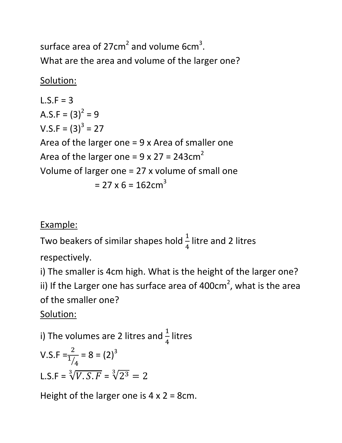surface area of 27cm<sup>2</sup> and volume 6cm<sup>3</sup>. What are the area and volume of the larger one?

# Solution:

 $L.S.F = 3$ A.S.F =  $(3)^2 = 9$  $V.S.F = (3)^3 = 27$ Area of the larger one = 9 x Area of smaller one Area of the larger one =  $9 \times 27 = 243 \text{cm}^2$ Volume of larger one = 27 x volume of small one  $= 27 \times 6 = 162 \text{cm}^3$ 

## Example:

Two beakers of similar shapes hold  $\frac{1}{4}$  $\overline{A}$ litre and 2 litres

respectively.

i) The smaller is 4cm high. What is the height of the larger one? ii) If the Larger one has surface area of 400cm<sup>2</sup>, what is the area of the smaller one?

# Solution:

i) The volumes are 2 litres and  $\frac{1}{4}$  $\overline{4}$ litres

V.S.F = 
$$
\frac{2}{1/4}
$$
 = 8 = (2)<sup>3</sup>  
L.S.F =  $\sqrt[3]{V.S.F}$  =  $\sqrt[3]{2^3}$  = 2

Height of the larger one is  $4 \times 2 = 8$ cm.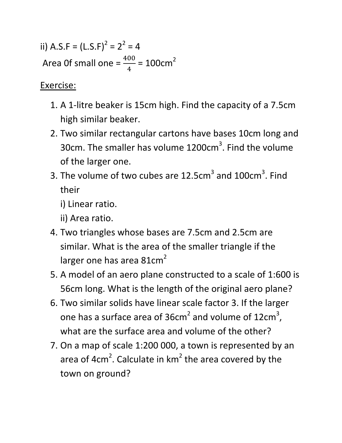ii) A.S.F =  $(L.S.F)^2 = 2^2 = 4$ Area Of small one =  $\frac{400}{4}$  $\overline{A}$  $= 100 \text{cm}^2$ 

Exercise:

- 1. A 1-litre beaker is 15cm high. Find the capacity of a 7.5cm high similar beaker.
- 2. Two similar rectangular cartons have bases 10cm long and 30cm. The smaller has volume 1200cm<sup>3</sup>. Find the volume of the larger one.
- 3. The volume of two cubes are  $12.5cm<sup>3</sup>$  and  $100cm<sup>3</sup>$ . Find their

i) Linear ratio.

ii) Area ratio.

- 4. Two triangles whose bases are 7.5cm and 2.5cm are similar. What is the area of the smaller triangle if the larger one has area  $81cm<sup>2</sup>$
- 5. A model of an aero plane constructed to a scale of 1:600 is 56cm long. What is the length of the original aero plane?
- 6. Two similar solids have linear scale factor 3. If the larger one has a surface area of  $36cm^2$  and volume of  $12cm^3$ , what are the surface area and volume of the other?
- 7. On a map of scale 1:200 000, a town is represented by an area of 4cm<sup>2</sup>. Calculate in  $km^2$  the area covered by the town on ground?